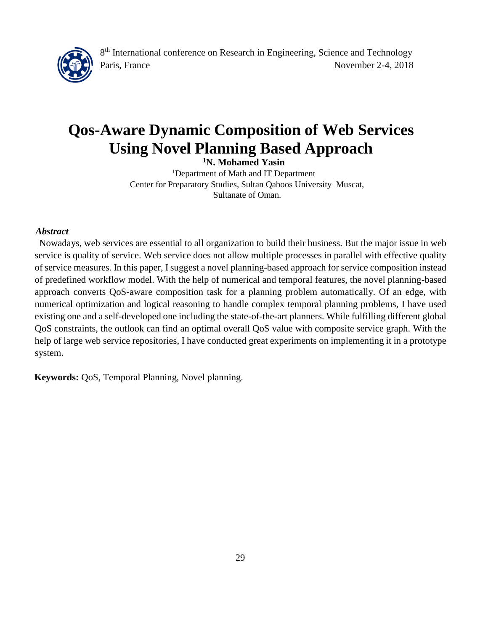

# **Qos-Aware Dynamic Composition of Web Services Using Novel Planning Based Approach**

**<sup>1</sup>N. Mohamed Yasin**

<sup>1</sup>Department of Math and IT Department Center for Preparatory Studies, Sultan Qaboos University Muscat, Sultanate of Oman.

#### *Abstract*

 Nowadays, web services are essential to all organization to build their business. But the major issue in web service is quality of service. Web service does not allow multiple processes in parallel with effective quality of service measures. In this paper, I suggest a novel planning-based approach for service composition instead of predefined workflow model. With the help of numerical and temporal features, the novel planning-based approach converts QoS-aware composition task for a planning problem automatically. Of an edge, with numerical optimization and logical reasoning to handle complex temporal planning problems, I have used existing one and a self-developed one including the state-of-the-art planners. While fulfilling different global QoS constraints, the outlook can find an optimal overall QoS value with composite service graph. With the help of large web service repositories, I have conducted great experiments on implementing it in a prototype system.

**Keywords:** QoS, Temporal Planning, Novel planning.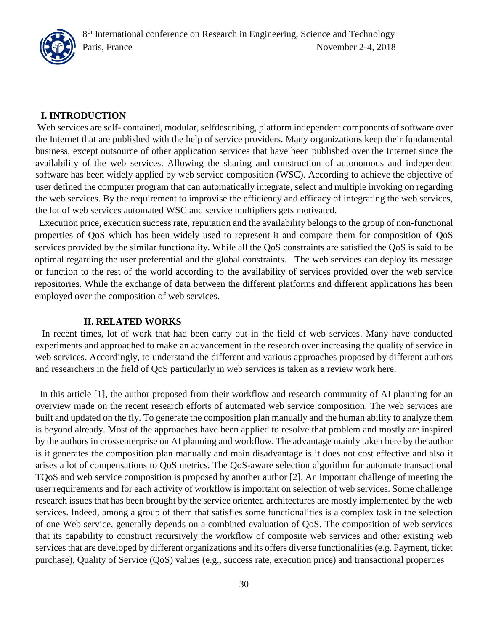#### **I. INTRODUCTION**

Web services are self- contained, modular, selfdescribing, platform independent components of software over the Internet that are published with the help of service providers. Many organizations keep their fundamental business, except outsource of other application services that have been published over the Internet since the availability of the web services. Allowing the sharing and construction of autonomous and independent software has been widely applied by web service composition (WSC). According to achieve the objective of user defined the computer program that can automatically integrate, select and multiple invoking on regarding the web services. By the requirement to improvise the efficiency and efficacy of integrating the web services, the lot of web services automated WSC and service multipliers gets motivated.

 Execution price, execution success rate, reputation and the availability belongs to the group of non-functional properties of QoS which has been widely used to represent it and compare them for composition of QoS services provided by the similar functionality. While all the QoS constraints are satisfied the QoS is said to be optimal regarding the user preferential and the global constraints. The web services can deploy its message or function to the rest of the world according to the availability of services provided over the web service repositories. While the exchange of data between the different platforms and different applications has been employed over the composition of web services.

#### **II. RELATED WORKS**

 In recent times, lot of work that had been carry out in the field of web services. Many have conducted experiments and approached to make an advancement in the research over increasing the quality of service in web services. Accordingly, to understand the different and various approaches proposed by different authors and researchers in the field of QoS particularly in web services is taken as a review work here.

In this article [1], the author proposed from their workflow and research community of AI planning for an overview made on the recent research efforts of automated web service composition. The web services are built and updated on the fly. To generate the composition plan manually and the human ability to analyze them is beyond already. Most of the approaches have been applied to resolve that problem and mostly are inspired by the authors in crossenterprise on AI planning and workflow. The advantage mainly taken here by the author is it generates the composition plan manually and main disadvantage is it does not cost effective and also it arises a lot of compensations to QoS metrics. The QoS-aware selection algorithm for automate transactional TQoS and web service composition is proposed by another author [2]. An important challenge of meeting the user requirements and for each activity of workflow is important on selection of web services. Some challenge research issues that has been brought by the service oriented architectures are mostly implemented by the web services. Indeed, among a group of them that satisfies some functionalities is a complex task in the selection of one Web service, generally depends on a combined evaluation of QoS. The composition of web services that its capability to construct recursively the workflow of composite web services and other existing web services that are developed by different organizations and its offers diverse functionalities (e.g. Payment, ticket purchase), Quality of Service (QoS) values (e.g., success rate, execution price) and transactional properties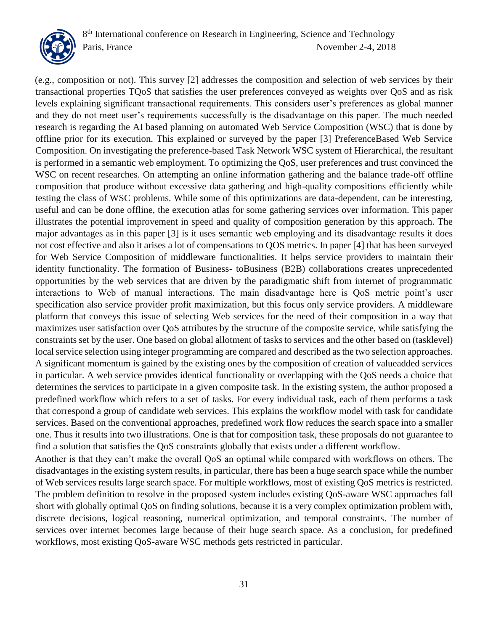

(e.g., composition or not). This survey [2] addresses the composition and selection of web services by their transactional properties TQoS that satisfies the user preferences conveyed as weights over QoS and as risk levels explaining significant transactional requirements. This considers user's preferences as global manner and they do not meet user's requirements successfully is the disadvantage on this paper. The much needed research is regarding the AI based planning on automated Web Service Composition (WSC) that is done by offline prior for its execution. This explained or surveyed by the paper [3] PreferenceBased Web Service Composition. On investigating the preference-based Task Network WSC system of Hierarchical, the resultant is performed in a semantic web employment. To optimizing the QoS, user preferences and trust convinced the WSC on recent researches. On attempting an online information gathering and the balance trade-off offline composition that produce without excessive data gathering and high-quality compositions efficiently while testing the class of WSC problems. While some of this optimizations are data-dependent, can be interesting, useful and can be done offline, the execution atlas for some gathering services over information. This paper illustrates the potential improvement in speed and quality of composition generation by this approach. The major advantages as in this paper [3] is it uses semantic web employing and its disadvantage results it does not cost effective and also it arises a lot of compensations to QOS metrics. In paper [4] that has been surveyed for Web Service Composition of middleware functionalities. It helps service providers to maintain their identity functionality. The formation of Business- toBusiness (B2B) collaborations creates unprecedented opportunities by the web services that are driven by the paradigmatic shift from internet of programmatic interactions to Web of manual interactions. The main disadvantage here is QoS metric point's user specification also service provider profit maximization, but this focus only service providers. A middleware platform that conveys this issue of selecting Web services for the need of their composition in a way that maximizes user satisfaction over QoS attributes by the structure of the composite service, while satisfying the constraints set by the user. One based on global allotment of tasks to services and the other based on (tasklevel) local service selection using integer programming are compared and described as the two selection approaches. A significant momentum is gained by the existing ones by the composition of creation of valueadded services in particular. A web service provides identical functionality or overlapping with the QoS needs a choice that determines the services to participate in a given composite task. In the existing system, the author proposed a predefined workflow which refers to a set of tasks. For every individual task, each of them performs a task that correspond a group of candidate web services. This explains the workflow model with task for candidate services. Based on the conventional approaches, predefined work flow reduces the search space into a smaller one. Thus it results into two illustrations. One is that for composition task, these proposals do not guarantee to find a solution that satisfies the QoS constraints globally that exists under a different workflow.

Another is that they can't make the overall QoS an optimal while compared with workflows on others. The disadvantages in the existing system results, in particular, there has been a huge search space while the number of Web services results large search space. For multiple workflows, most of existing QoS metrics is restricted. The problem definition to resolve in the proposed system includes existing QoS-aware WSC approaches fall short with globally optimal QoS on finding solutions, because it is a very complex optimization problem with, discrete decisions, logical reasoning, numerical optimization, and temporal constraints. The number of services over internet becomes large because of their huge search space. As a conclusion, for predefined workflows, most existing QoS-aware WSC methods gets restricted in particular.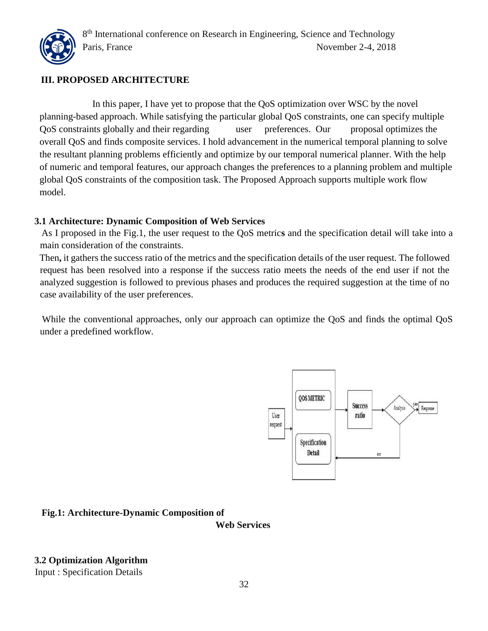

# **III. PROPOSED ARCHITECTURE**

 In this paper, I have yet to propose that the QoS optimization over WSC by the novel planning-based approach. While satisfying the particular global QoS constraints, one can specify multiple QoS constraints globally and their regarding user preferences. Our proposal optimizes the overall QoS and finds composite services. I hold advancement in the numerical temporal planning to solve the resultant planning problems efficiently and optimize by our temporal numerical planner. With the help of numeric and temporal features, our approach changes the preferences to a planning problem and multiple global QoS constraints of the composition task. The Proposed Approach supports multiple work flow model.

## **3.1 Architecture: Dynamic Composition of Web Services**

As I proposed in the Fig.1, the user request to the QoS metric**s** and the specification detail will take into a main consideration of the constraints.

Then**,** it gathers the success ratio of the metrics and the specification details of the user request. The followed request has been resolved into a response if the success ratio meets the needs of the end user if not the analyzed suggestion is followed to previous phases and produces the required suggestion at the time of no case availability of the user preferences.

While the conventional approaches, only our approach can optimize the QoS and finds the optimal QoS under a predefined workflow.



# **Fig.1: Architecture-Dynamic Composition of**

**Web Services**

**3.2 Optimization Algorithm** 

Input : Specification Details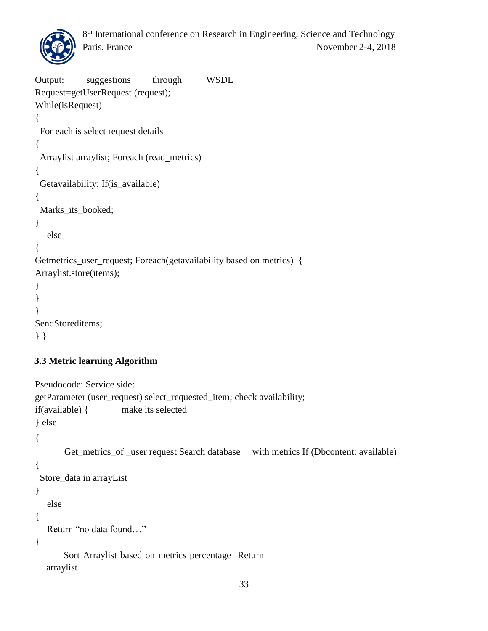

```
Output: suggestions through WSDL 
Request=getUserRequest (request); 
While(isRequest)
{
  For each is select request details
{
 Arraylist arraylist; Foreach (read_metrics)
{
  Getavailability; If(is_available)
{
  Marks_its_booked;
}
    else
{
Getmetrics_user_request; Foreach(getavailability based on metrics) {
Arraylist.store(items);
}
}
}
SendStoreditems;
} }
```
# **3.3 Metric learning Algorithm**

```
Pseudocode: Service side:
getParameter (user_request) select_requested_item; check availability; 
if(available) { make its selected
} else
{
       Get metrics of user request Search database with metrics If (Dbcontent: available)
{
  Store_data in arrayList
}
    else
{
    Return "no data found…"
}
        Sort Arraylist based on metrics percentage Return 
  arraylist
```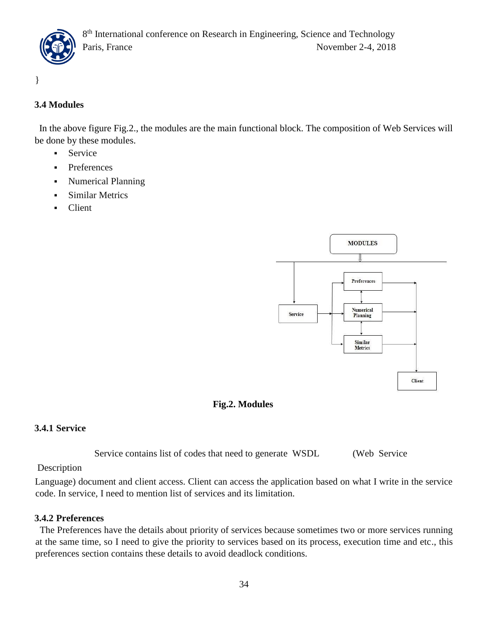

}

# **3.4 Modules**

 In the above figure Fig.2., the modules are the main functional block. The composition of Web Services will be done by these modules.

- **Service**
- **Preferences**
- Numerical Planning
- **Similar Metrics**
- **Client**



# **Fig.2. Modules**

## **3.4.1 Service**

Service contains list of codes that need to generate WSDL (Web Service

## Description

Language) document and client access. Client can access the application based on what I write in the service code. In service, I need to mention list of services and its limitation.

## **3.4.2 Preferences**

 The Preferences have the details about priority of services because sometimes two or more services running at the same time, so I need to give the priority to services based on its process, execution time and etc., this preferences section contains these details to avoid deadlock conditions.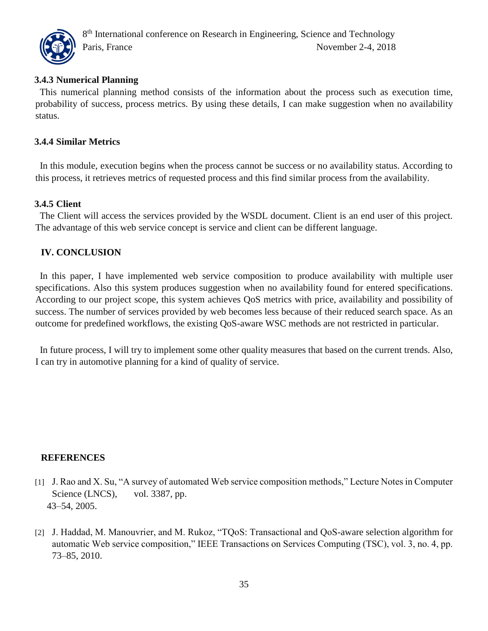

## **3.4.3 Numerical Planning**

 This numerical planning method consists of the information about the process such as execution time, probability of success, process metrics. By using these details, I can make suggestion when no availability status.

## **3.4.4 Similar Metrics**

 In this module, execution begins when the process cannot be success or no availability status. According to this process, it retrieves metrics of requested process and this find similar process from the availability.

#### **3.4.5 Client**

 The Client will access the services provided by the WSDL document. Client is an end user of this project. The advantage of this web service concept is service and client can be different language.

## **IV. CONCLUSION**

 In this paper, I have implemented web service composition to produce availability with multiple user specifications. Also this system produces suggestion when no availability found for entered specifications. According to our project scope, this system achieves QoS metrics with price, availability and possibility of success. The number of services provided by web becomes less because of their reduced search space. As an outcome for predefined workflows, the existing QoS-aware WSC methods are not restricted in particular.

 In future process, I will try to implement some other quality measures that based on the current trends. Also, I can try in automotive planning for a kind of quality of service.

#### **REFERENCES**

- [1] J. Rao and X. Su, "A survey of automated Web service composition methods," Lecture Notes in Computer Science (LNCS), vol. 3387, pp. 43–54, 2005.
- [2] J. Haddad, M. Manouvrier, and M. Rukoz, "TOoS: Transactional and OoS-aware selection algorithm for automatic Web service composition," IEEE Transactions on Services Computing (TSC), vol. 3, no. 4, pp. 73–85, 2010.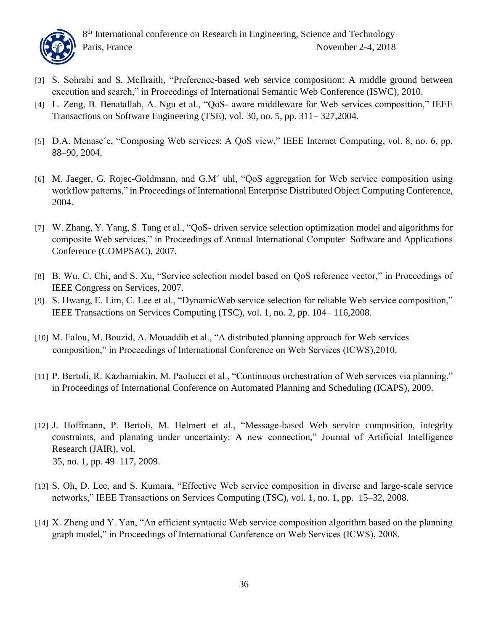

- [3] S. Sohrabi and S. McIlraith, "Preference-based web service composition: A middle ground between execution and search," in Proceedings of International Semantic Web Conference (ISWC), 2010.
- [4] L. Zeng, B. Benatallah, A. Ngu et al., "QoS- aware middleware for Web services composition," IEEE Transactions on Software Engineering (TSE), vol. 30, no. 5, pp. 311– 327,2004.
- [5] D.A. Menasc´e, "Composing Web services: A QoS view," IEEE Internet Computing, vol. 8, no. 6, pp. 88–90, 2004.
- [6] M. Jaeger, G. Rojec-Goldmann, and G.M´ uhl, "QoS aggregation for Web service composition using workflow patterns," in Proceedings of International Enterprise Distributed Object Computing Conference, 2004.
- [7] W. Zhang, Y. Yang, S. Tang et al., "QoS- driven service selection optimization model and algorithms for composite Web services," in Proceedings of Annual International Computer Software and Applications Conference (COMPSAC), 2007.
- [8] B. Wu, C. Chi, and S. Xu, "Service selection model based on QoS reference vector," in Proceedings of IEEE Congress on Services, 2007.
- [9] S. Hwang, E. Lim, C. Lee et al., "DynamicWeb service selection for reliable Web service composition," IEEE Transactions on Services Computing (TSC), vol. 1, no. 2, pp. 104– 116,2008.
- [10] M. Falou, M. Bouzid, A. Mouaddib et al., "A distributed planning approach for Web services composition," in Proceedings of International Conference on Web Services (ICWS),2010.
- [11] P. Bertoli, R. Kazhamiakin, M. Paolucci et al., "Continuous orchestration of Web services via planning," in Proceedings of International Conference on Automated Planning and Scheduling (ICAPS), 2009.
- [12] J. Hoffmann, P. Bertoli, M. Helmert et al., "Message-based Web service composition, integrity constraints, and planning under uncertainty: A new connection," Journal of Artificial Intelligence Research (JAIR), vol. 35, no. 1, pp. 49–117, 2009.
- [13] S. Oh, D. Lee, and S. Kumara, "Effective Web service composition in diverse and large-scale service networks," IEEE Transactions on Services Computing (TSC), vol. 1, no. 1, pp. 15–32, 2008.
- [14] X. Zheng and Y. Yan, "An efficient syntactic Web service composition algorithm based on the planning graph model," in Proceedings of International Conference on Web Services (ICWS), 2008.